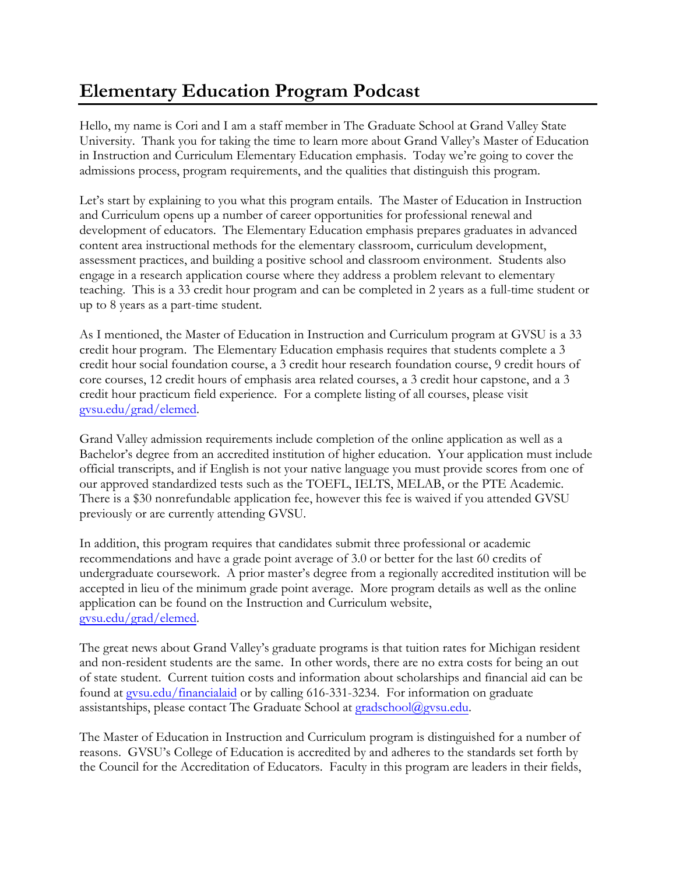## **Elementary Education Program Podcast**

Hello, my name is Cori and I am a staff member in The Graduate School at Grand Valley State University. Thank you for taking the time to learn more about Grand Valley's Master of Education in Instruction and Curriculum Elementary Education emphasis. Today we're going to cover the admissions process, program requirements, and the qualities that distinguish this program.

Let's start by explaining to you what this program entails. The Master of Education in Instruction and Curriculum opens up a number of career opportunities for professional renewal and development of educators. The Elementary Education emphasis prepares graduates in advanced content area instructional methods for the elementary classroom, curriculum development, assessment practices, and building a positive school and classroom environment. Students also engage in a research application course where they address a problem relevant to elementary teaching. This is a 33 credit hour program and can be completed in 2 years as a full-time student or up to 8 years as a part-time student.

As I mentioned, the Master of Education in Instruction and Curriculum program at GVSU is a 33 credit hour program. The Elementary Education emphasis requires that students complete a 3 credit hour social foundation course, a 3 credit hour research foundation course, 9 credit hours of core courses, 12 credit hours of emphasis area related courses, a 3 credit hour capstone, and a 3 credit hour practicum field experience. For a complete listing of all courses, please visit gvsu.edu/grad/elemed.

Grand Valley admission requirements include completion of the online application as well as a Bachelor's degree from an accredited institution of higher education. Your application must include official transcripts, and if English is not your native language you must provide scores from one of our approved standardized tests such as the TOEFL, IELTS, MELAB, or the PTE Academic. There is a \$30 nonrefundable application fee, however this fee is waived if you attended GVSU previously or are currently attending GVSU.

In addition, this program requires that candidates submit three professional or academic recommendations and have a grade point average of 3.0 or better for the last 60 credits of undergraduate coursework. A prior master's degree from a regionally accredited institution will be accepted in lieu of the minimum grade point average. More program details as well as the online application can be found on the Instruction and Curriculum website, gvsu.edu/grad/elemed.

The great news about Grand Valley's graduate programs is that tuition rates for Michigan resident and non-resident students are the same. In other words, there are no extra costs for being an out of state student. Current tuition costs and information about scholarships and financial aid can be found at [gvsu.edu/financialaid](http://www.gvsu.edu/financialaid) or by calling 616-331-3234. For information on graduate assistantships, please contact The Graduate School at [gradschool@gvsu.edu.](mailto:gradschool@gvsu.edu)

The Master of Education in Instruction and Curriculum program is distinguished for a number of reasons. GVSU's College of Education is accredited by and adheres to the standards set forth by the Council for the Accreditation of Educators. Faculty in this program are leaders in their fields,